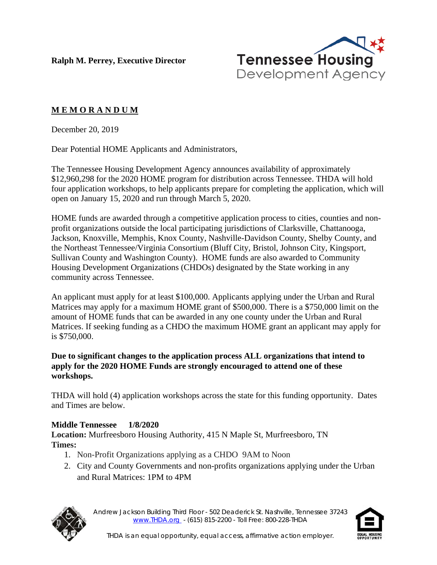**Ralph M. Perrey, Executive Director**



# **M E M O R A N D U M**

December 20, 2019

Dear Potential HOME Applicants and Administrators,

The Tennessee Housing Development Agency announces availability of approximately \$12,960,298 for the 2020 HOME program for distribution across Tennessee. THDA will hold four application workshops, to help applicants prepare for completing the application, which will open on January 15, 2020 and run through March 5, 2020.

HOME funds are awarded through a competitive application process to cities, counties and nonprofit organizations outside the local participating jurisdictions of Clarksville, Chattanooga, Jackson, Knoxville, Memphis, Knox County, Nashville-Davidson County, Shelby County, and the Northeast Tennessee/Virginia Consortium (Bluff City, Bristol, Johnson City, Kingsport, Sullivan County and Washington County). HOME funds are also awarded to Community Housing Development Organizations (CHDOs) designated by the State working in any community across Tennessee.

An applicant must apply for at least \$100,000. Applicants applying under the Urban and Rural Matrices may apply for a maximum HOME grant of \$500,000. There is a \$750,000 limit on the amount of HOME funds that can be awarded in any one county under the Urban and Rural Matrices. If seeking funding as a CHDO the maximum HOME grant an applicant may apply for is \$750,000.

#### **Due to significant changes to the application process ALL organizations that intend to apply for the 2020 HOME Funds are strongly encouraged to attend one of these workshops.**

THDA will hold (4) application workshops across the state for this funding opportunity. Dates and Times are below.

## **Middle Tennessee 1/8/2020**

**Location:** Murfreesboro Housing Authority, 415 N Maple St, Murfreesboro, TN **Times:** 

- 1. Non-Profit Organizations applying as a CHDO 9AM to Noon
- 2. City and County Governments and non-profits organizations applying under the Urban and Rural Matrices: 1PM to 4PM



Andrew Jackson Building Third Floor - 502 Deaderick St. Nashville, Tennessee 37243 [www.THDA.org](http://www.thda.org/) - (615) 815-2200 - Toll Free: 800-228-THDA